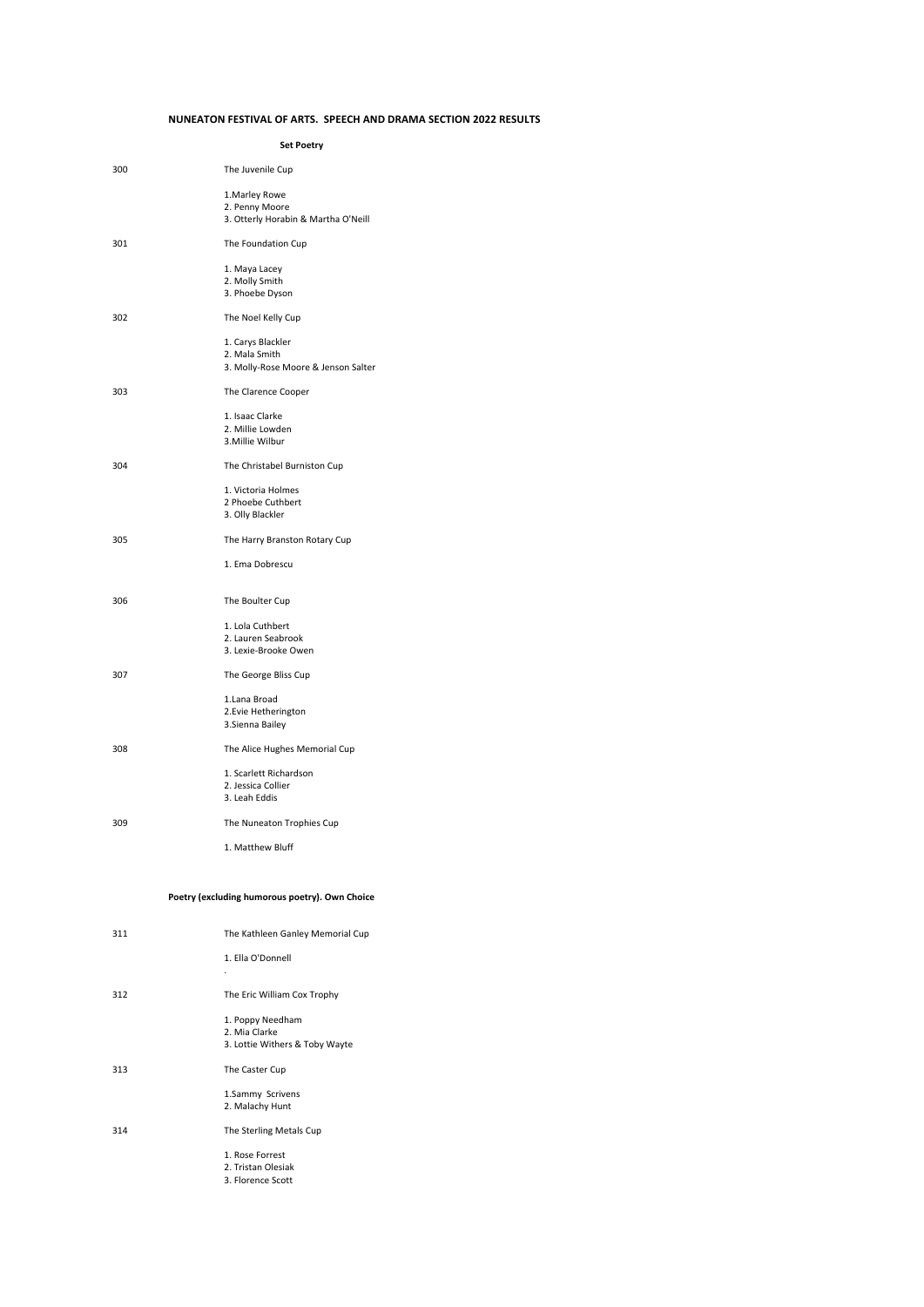## **NUNEATON FESTIVAL OF ARTS. SPEECH AND DRAMA SECTION 2022 RESULTS**

**Set Poetry**

| 300 | The Juvenile Cup                                                          |
|-----|---------------------------------------------------------------------------|
|     | 1. Marley Rowe<br>2. Penny Moore<br>3. Otterly Horabin & Martha O'Neill   |
| 301 | The Foundation Cup                                                        |
|     | 1. Maya Lacey<br>2. Molly Smith<br>3. Phoebe Dyson                        |
| 302 | The Noel Kelly Cup                                                        |
|     | 1. Carys Blackler<br>2. Mala Smith<br>3. Molly-Rose Moore & Jenson Salter |
| 303 | The Clarence Cooper                                                       |
|     | 1. Isaac Clarke<br>2. Millie Lowden<br>3. Millie Wilbur                   |
| 304 | The Christabel Burniston Cup                                              |
|     | 1. Victoria Holmes<br>2 Phoebe Cuthbert<br>3. Olly Blackler               |
| 305 | The Harry Branston Rotary Cup                                             |
|     | 1. Ema Dobrescu                                                           |
| 306 | The Boulter Cup                                                           |
|     | 1. Lola Cuthbert<br>2. Lauren Seabrook<br>3. Lexie-Brooke Owen            |
| 307 | The George Bliss Cup                                                      |
|     | 1.Lana Broad<br>2. Evie Hetherington<br>3. Sienna Bailey                  |
| 308 | The Alice Hughes Memorial Cup                                             |
|     | 1. Scarlett Richardson<br>2. Jessica Collier<br>3. Leah Eddis             |
| 309 | The Nuneaton Trophies Cup                                                 |
|     | 1. Matthew Bluff                                                          |

## Poetry (excluding humorous poetry). Own Choice

| 311 | The Kathleen Ganley Memorial Cup |
|-----|----------------------------------|
|     | 1. Ella O'Donnell                |
|     |                                  |
| 312 | The Eric William Cox Trophy      |
|     | 1. Poppy Needham                 |
|     | 2. Mia Clarke                    |
|     | 3. Lottie Withers & Toby Wayte   |
| 313 | The Caster Cup                   |
|     | 1.Sammy Scrivens                 |
|     | 2. Malachy Hunt                  |
|     |                                  |
| 314 | The Sterling Metals Cup          |
|     | 1. Rose Forrest                  |
|     | 2. Tristan Olesiak               |
|     | 3. Florence Scott                |
|     |                                  |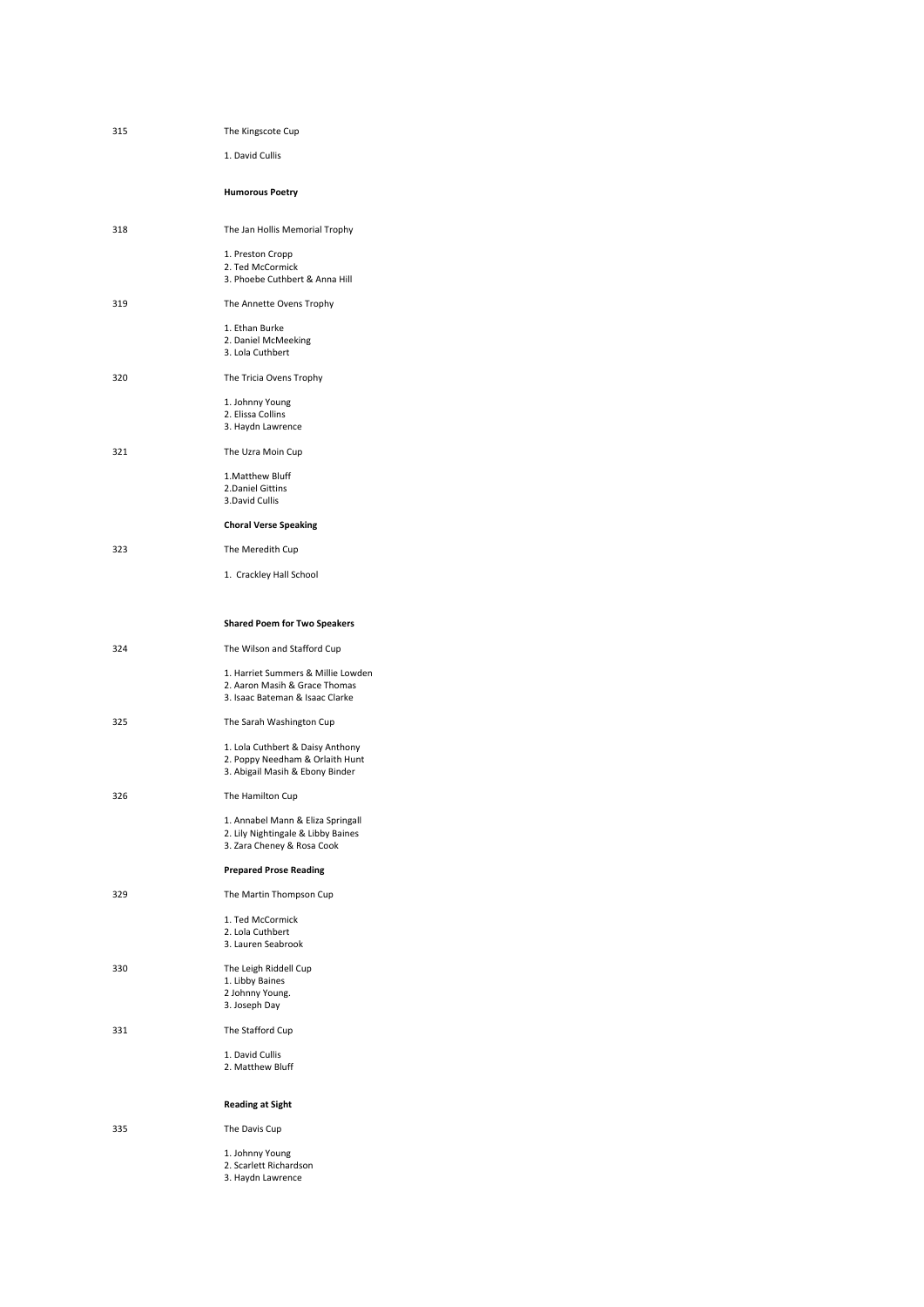| 315 | The Kingscote Cup                                                                                      |
|-----|--------------------------------------------------------------------------------------------------------|
|     | 1. David Cullis                                                                                        |
|     | <b>Humorous Poetry</b>                                                                                 |
| 318 | The Jan Hollis Memorial Trophy                                                                         |
|     | 1. Preston Cropp<br>2. Ted McCormick<br>3. Phoebe Cuthbert & Anna Hill                                 |
| 319 | The Annette Ovens Trophy                                                                               |
|     | 1. Ethan Burke<br>2. Daniel McMeeking<br>3. Lola Cuthbert                                              |
| 320 | The Tricia Ovens Trophy                                                                                |
|     | 1. Johnny Young<br>2. Elissa Collins<br>3. Haydn Lawrence                                              |
| 321 | The Uzra Moin Cup                                                                                      |
|     | 1. Matthew Bluff<br>2.Daniel Gittins<br>3.David Cullis                                                 |
|     | <b>Choral Verse Speaking</b>                                                                           |
| 323 | The Meredith Cup                                                                                       |
|     | 1. Crackley Hall School                                                                                |
|     | <b>Shared Poem for Two Speakers</b>                                                                    |
| 324 | The Wilson and Stafford Cup                                                                            |
|     | 1. Harriet Summers & Millie Lowden<br>2. Aaron Masih & Grace Thomas<br>3. Isaac Bateman & Isaac Clarke |
| 325 | The Sarah Washington Cup                                                                               |
|     | 1. Lola Cuthbert & Daisy Anthony<br>2. Poppy Needham & Orlaith Hunt<br>3. Abigail Masih & Ebony Binder |
| 326 | The Hamilton Cup                                                                                       |
|     | 1. Annabel Mann & Eliza Springall<br>2. Lily Nightingale & Libby Baines<br>3. Zara Cheney & Rosa Cook  |
|     | <b>Prepared Prose Reading</b>                                                                          |
| 329 | The Martin Thompson Cup                                                                                |
|     | 1. Ted McCormick<br>2. Lola Cuthbert<br>3. Lauren Seabrook                                             |
| 330 | The Leigh Riddell Cup<br>1. Libby Baines<br>2 Johnny Young.<br>3. Joseph Day                           |
| 331 | The Stafford Cup                                                                                       |
|     | 1. David Cullis<br>2. Matthew Bluff                                                                    |
|     | <b>Reading at Sight</b>                                                                                |
| 335 | The Davis Cup                                                                                          |
|     | 1. Johnny Young<br>2. Scarlett Richardson<br>3. Haydn Lawrence                                         |